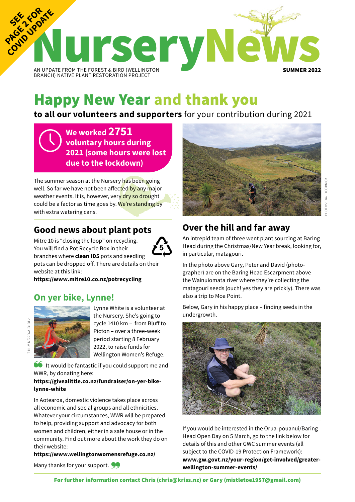

## Happy New Year **and** thank you

**to all our volunteers and supporters** for your contribution during 2021

**We worked 2751 voluntary hours during 2021 (some hours were lost due to the lockdown)**

The summer season at the Nursery has been going well. So far we have not been affected by any major weather events. It is, however, very dry so drought could be a factor as time goes by. We're standing by with extra watering cans.

## **Good news about plant pots**

Mitre 10 is "closing the loop" on recycling. You will find a Pot Recycle Box in their branches where **clean ID5** pots and seedling pots can be dropped off. There are details on their website at this link:

**<https://www.mitre10.co.nz/potrecycling>** 

## **On yer bike, Lynne!**



PHOTO: WARREN W

PHOTO: WARREN WHIT

Lynne White is a volunteer at the Nursery. She's going to cycle 1410 km – from Bluff to Picton – over a three-week period starting 8 February 2022, to raise funds for Wellington Women's Refuge.

It would be fantastic if you could support me and WWR, by donating here:

#### **[https://givealittle.co.nz/fundraiser/on-yer-bike](https://givealittle.co.nz/fundraiser/on-yer-bike-lynne-white)[lynne-white](https://givealittle.co.nz/fundraiser/on-yer-bike-lynne-white)**

In Aotearoa, domestic violence takes place across all economic and social groups and all ethnicities. Whatever your circumstances, WWR will be prepared to help, providing support and advocacy for both women and children, either in a safe house or in the community. Find out more about the work they do on their website:

**https://www.wellingtonwomensrefuge.co.nz/**





## **Over the hill and far away**

An intrepid team of three went plant sourcing at Baring Head during the Christmas/New Year break, looking for, in particular, matagouri.

In the photo above Gary, Peter and David (photographer) are on the Baring Head Escarpment above the Wainuiomata river where they're collecting the matagouri seeds (ouch! yes they are prickly). There was also a trip to Moa Point.

Below, Gary in his happy place – finding seeds in the undergrowth.



If you would be interested in the Ōrua-pouanui/Baring Head Open Day on 5 March, go to the link below for details of this and other GWC summer events (all subject to the COVID-19 Protection Framework): **[www.gw.govt.nz/your-region/get-involved/greater](www.gw.govt.nz/your-region/get-involved/greater-wellington-summer-events/)[wellington-summer-events/](www.gw.govt.nz/your-region/get-involved/greater-wellington-summer-events/)**